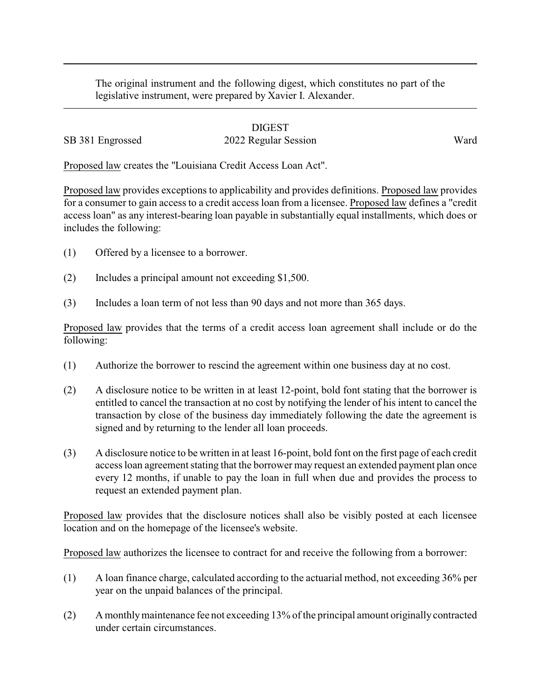The original instrument and the following digest, which constitutes no part of the legislative instrument, were prepared by Xavier I. Alexander.

## DIGEST SB 381 Engrossed 2022 Regular Session Ward

Proposed law creates the "Louisiana Credit Access Loan Act".

Proposed law provides exceptions to applicability and provides definitions. Proposed law provides for a consumer to gain access to a credit access loan from a licensee. Proposed law defines a "credit access loan" as any interest-bearing loan payable in substantially equal installments, which does or includes the following:

- (1) Offered by a licensee to a borrower.
- (2) Includes a principal amount not exceeding \$1,500.
- (3) Includes a loan term of not less than 90 days and not more than 365 days.

Proposed law provides that the terms of a credit access loan agreement shall include or do the following:

- (1) Authorize the borrower to rescind the agreement within one business day at no cost.
- (2) A disclosure notice to be written in at least 12-point, bold font stating that the borrower is entitled to cancel the transaction at no cost by notifying the lender of his intent to cancel the transaction by close of the business day immediately following the date the agreement is signed and by returning to the lender all loan proceeds.
- (3) A disclosure notice to be written in at least 16-point, bold font on the first page of each credit access loan agreement stating that the borrower may request an extended payment plan once every 12 months, if unable to pay the loan in full when due and provides the process to request an extended payment plan.

Proposed law provides that the disclosure notices shall also be visibly posted at each licensee location and on the homepage of the licensee's website.

Proposed law authorizes the licensee to contract for and receive the following from a borrower:

- (1) A loan finance charge, calculated according to the actuarial method, not exceeding 36% per year on the unpaid balances of the principal.
- (2) A monthlymaintenance fee not exceeding 13% of the principal amount originally contracted under certain circumstances.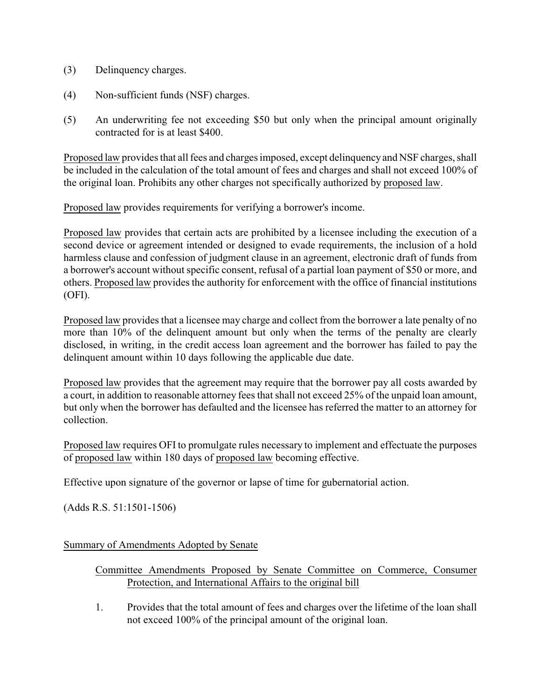- (3) Delinquency charges.
- (4) Non-sufficient funds (NSF) charges.
- (5) An underwriting fee not exceeding \$50 but only when the principal amount originally contracted for is at least \$400.

Proposed law provides that all fees and charges imposed, except delinquencyand NSF charges, shall be included in the calculation of the total amount of fees and charges and shall not exceed 100% of the original loan. Prohibits any other charges not specifically authorized by proposed law.

Proposed law provides requirements for verifying a borrower's income.

Proposed law provides that certain acts are prohibited by a licensee including the execution of a second device or agreement intended or designed to evade requirements, the inclusion of a hold harmless clause and confession of judgment clause in an agreement, electronic draft of funds from a borrower's account without specific consent, refusal of a partial loan payment of \$50 or more, and others. Proposed law provides the authority for enforcement with the office of financial institutions (OFI).

Proposed law provides that a licensee may charge and collect from the borrower a late penalty of no more than 10% of the delinquent amount but only when the terms of the penalty are clearly disclosed, in writing, in the credit access loan agreement and the borrower has failed to pay the delinquent amount within 10 days following the applicable due date.

Proposed law provides that the agreement may require that the borrower pay all costs awarded by a court, in addition to reasonable attorney fees that shall not exceed 25% of the unpaid loan amount, but only when the borrower has defaulted and the licensee has referred the matter to an attorney for collection.

Proposed law requires OFI to promulgate rules necessary to implement and effectuate the purposes of proposed law within 180 days of proposed law becoming effective.

Effective upon signature of the governor or lapse of time for gubernatorial action.

(Adds R.S. 51:1501-1506)

Summary of Amendments Adopted by Senate

## Committee Amendments Proposed by Senate Committee on Commerce, Consumer Protection, and International Affairs to the original bill

1. Provides that the total amount of fees and charges over the lifetime of the loan shall not exceed 100% of the principal amount of the original loan.